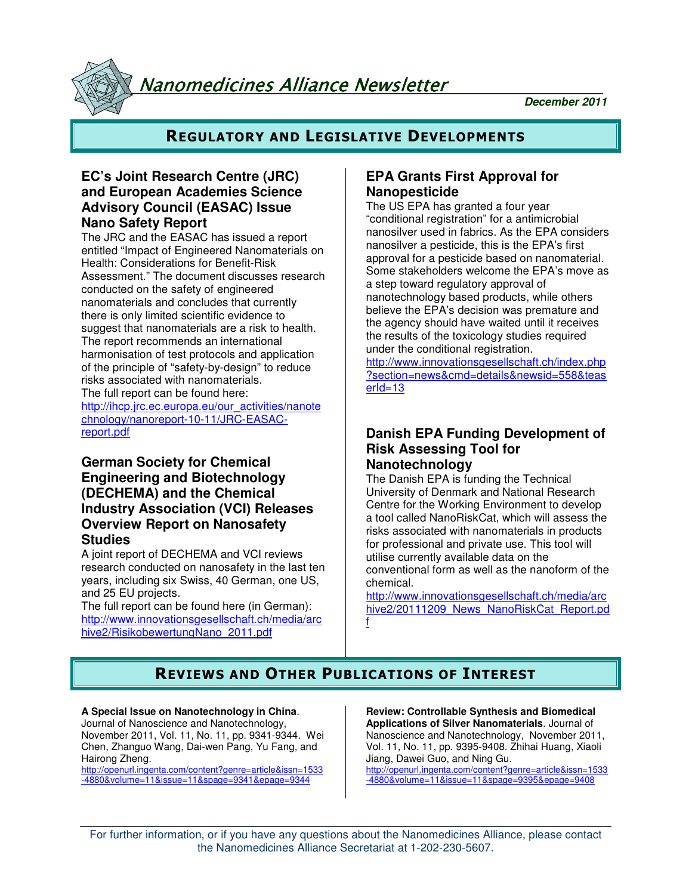Nanomedicines Alliance Newsletter

**December 2011**

## **REGULATORY AND LEGISLATIVE DEVELOPMENTS**

## **EC's Joint Research Centre (JRC) and European Academies Science Advisory Council (EASAC) Issue Nano Safety Report**

The JRC and the EASAC has issued a report entitled "Impact of Engineered Nanomaterials on Health: Considerations for Benefit-Risk Assessment." The document discusses research conducted on the safety of engineered nanomaterials and concludes that currently there is only limited scientific evidence to suggest that nanomaterials are a risk to health. The report recommends an international harmonisation of test protocols and application of the principle of "safety-by-design" to reduce risks associated with nanomaterials. The full report can be found here:

http://ihcp.jrc.ec.europa.eu/our\_activities/nanote chnology/nanoreport-10-11/JRC-EASACreport.pdf

## **German Society for Chemical Engineering and Biotechnology (DECHEMA) and the Chemical Industry Association (VCI) Releases Overview Report on Nanosafety Studies**

A joint report of DECHEMA and VCI reviews research conducted on nanosafety in the last ten years, including six Swiss, 40 German, one US, and 25 EU projects.

The full report can be found here (in German): http://www.innovationsgesellschaft.ch/media/arc hive2/RisikobewertungNano\_2011.pdf

## **EPA Grants First Approval for Nanopesticide**

The US EPA has granted a four year "conditional registration" for a antimicrobial nanosilver used in fabrics. As the EPA considers nanosilver a pesticide, this is the EPA's first approval for a pesticide based on nanomaterial. Some stakeholders welcome the EPA's move as a step toward regulatory approval of nanotechnology based products, while others believe the EPA's decision was premature and the agency should have waited until it receives the results of the toxicology studies required under the conditional registration.

http://www.innovationsgesellschaft.ch/index.php ?section=news&cmd=details&newsid=558&teas erId=13

## **Danish EPA Funding Development of Risk Assessing Tool for Nanotechnology**

The Danish EPA is funding the Technical University of Denmark and National Research Centre for the Working Environment to develop a tool called NanoRiskCat, which will assess the risks associated with nanomaterials in products for professional and private use. This tool will utilise currently available data on the conventional form as well as the nanoform of the chemical.

http://www.innovationsgesellschaft.ch/media/arc hive2/20111209\_News\_NanoRiskCat\_Report.pd f

# **REVIEWS AND OTHER PUBLICATIONS OF INTEREST**

**A Special Issue on Nanotechnology in China**. Journal of Nanoscience and Nanotechnology, November 2011, Vol. 11, No. 11, pp. 9341-9344. Wei Chen, Zhanguo Wang, Dai-wen Pang, Yu Fang, and Hairong Zheng.

http://openurl.ingenta.com/content?genre=article&issn=1533 -4880&volume=11&issue=11&spage=9341&epage=9344

**Review: Controllable Synthesis and Biomedical Applications of Silver Nanomaterials**. Journal of Nanoscience and Nanotechnology, November 2011, Vol. 11, No. 11, pp. 9395-9408. Zhihai Huang, Xiaoli Jiang, Dawei Guo, and Ning Gu. http://openurl.ingenta.com/content?genre=article&issn=1533 -4880&volume=11&issue=11&spage=9395&epage=9408

For further information, or if you have any questions about the Nanomedicines Alliance, please contact the Nanomedicines Alliance Secretariat at 1-202-230-5607.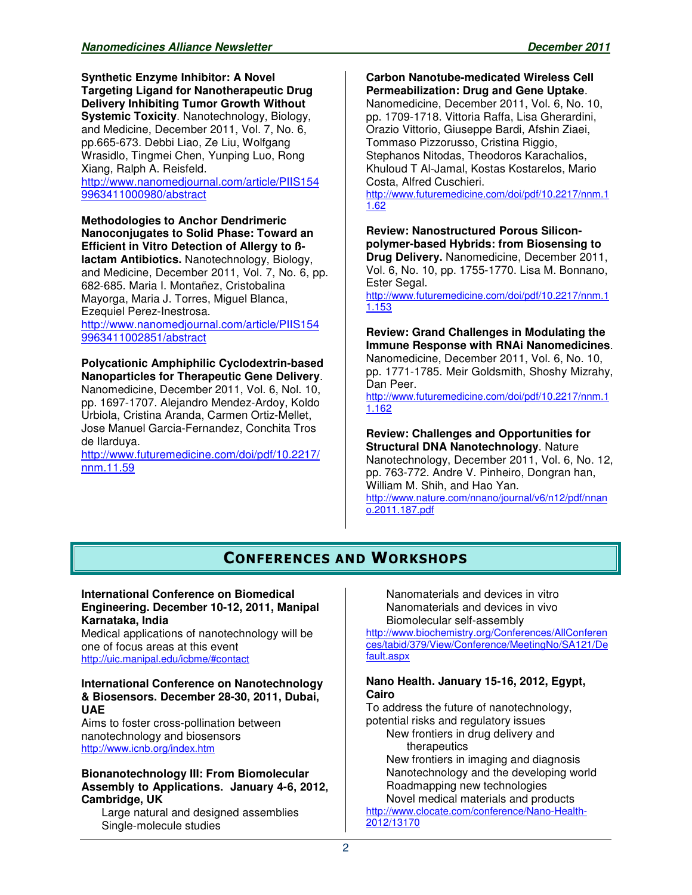**Synthetic Enzyme Inhibitor: A Novel Targeting Ligand for Nanotherapeutic Drug Delivery Inhibiting Tumor Growth Without Systemic Toxicity**. Nanotechnology, Biology, and Medicine, December 2011, Vol. 7, No. 6, pp.665-673. Debbi Liao, Ze Liu, Wolfgang Wrasidlo, Tingmei Chen, Yunping Luo, Rong Xiang, Ralph A. Reisfeld. http://www.nanomedjournal.com/article/PIIS154 9963411000980/abstract

**Methodologies to Anchor Dendrimeric Nanoconjugates to Solid Phase: Toward an Efficient in Vitro Detection of Allergy to ßlactam Antibiotics.** Nanotechnology, Biology, and Medicine, December 2011, Vol. 7, No. 6, pp. 682-685. Maria I. Montañez, Cristobalina Mayorga, Maria J. Torres, Miguel Blanca, Ezequiel Perez-Inestrosa.

http://www.nanomedjournal.com/article/PIIS154 9963411002851/abstract

**Polycationic Amphiphilic Cyclodextrin-based Nanoparticles for Therapeutic Gene Delivery**. Nanomedicine, December 2011, Vol. 6, Nol. 10, pp. 1697-1707. Alejandro Mendez-Ardoy, Koldo Urbiola, Cristina Aranda, Carmen Ortiz-Mellet, Jose Manuel Garcia-Fernandez, Conchita Tros de Ilarduya.

http://www.futuremedicine.com/doi/pdf/10.2217/ nnm.11.59

#### **Carbon Nanotube-medicated Wireless Cell Permeabilization: Drug and Gene Uptake**.

Nanomedicine, December 2011, Vol. 6, No. 10, pp. 1709-1718. Vittoria Raffa, Lisa Gherardini, Orazio Vittorio, Giuseppe Bardi, Afshin Ziaei, Tommaso Pizzorusso, Cristina Riggio, Stephanos Nitodas, Theodoros Karachalios, Khuloud T Al-Jamal, Kostas Kostarelos, Mario Costa, Alfred Cuschieri.

http://www.futuremedicine.com/doi/pdf/10.2217/nnm.1 1.62

**Review: Nanostructured Porous Siliconpolymer-based Hybrids: from Biosensing to Drug Delivery.** Nanomedicine, December 2011,

Vol. 6, No. 10, pp. 1755-1770. Lisa M. Bonnano, Ester Segal.

http://www.futuremedicine.com/doi/pdf/10.2217/nnm.1 1.153

## **Review: Grand Challenges in Modulating the Immune Response with RNAi Nanomedicines**.

Nanomedicine, December 2011, Vol. 6, No. 10, pp. 1771-1785. Meir Goldsmith, Shoshy Mizrahy, Dan Peer.

http://www.futuremedicine.com/doi/pdf/10.2217/nnm.1 1.162

# **Review: Challenges and Opportunities for**

**Structural DNA Nanotechnology**. Nature Nanotechnology, December 2011, Vol. 6, No. 12, pp. 763-772. Andre V. Pinheiro, Dongran han, William M. Shih, and Hao Yan. http://www.nature.com/nnano/journal/v6/n12/pdf/nnan o.2011.187.pdf

## **CONFERENCES AND WORKSHOPS**

#### **International Conference on Biomedical Engineering. December 10-12, 2011, Manipal Karnataka, India**

Medical applications of nanotechnology will be one of focus areas at this event http://uic.manipal.edu/icbme/#contact

#### **International Conference on Nanotechnology & Biosensors. December 28-30, 2011, Dubai, UAE**

Aims to foster cross-pollination between nanotechnology and biosensors http://www.icnb.org/index.htm

#### **Bionanotechnology III: From Biomolecular Assembly to Applications. January 4-6, 2012, Cambridge, UK**

Large natural and designed assemblies Single-molecule studies

Nanomaterials and devices in vitro Nanomaterials and devices in vivo Biomolecular self-assembly

http://www.biochemistry.org/Conferences/AllConferen ces/tabid/379/View/Conference/MeetingNo/SA121/De fault.aspx

### **Nano Health. January 15-16, 2012, Egypt, Cairo**

To address the future of nanotechnology, potential risks and regulatory issues New frontiers in drug delivery and therapeutics New frontiers in imaging and diagnosis Nanotechnology and the developing world

Roadmapping new technologies Novel medical materials and products

http://www.clocate.com/conference/Nano-Health-2012/13170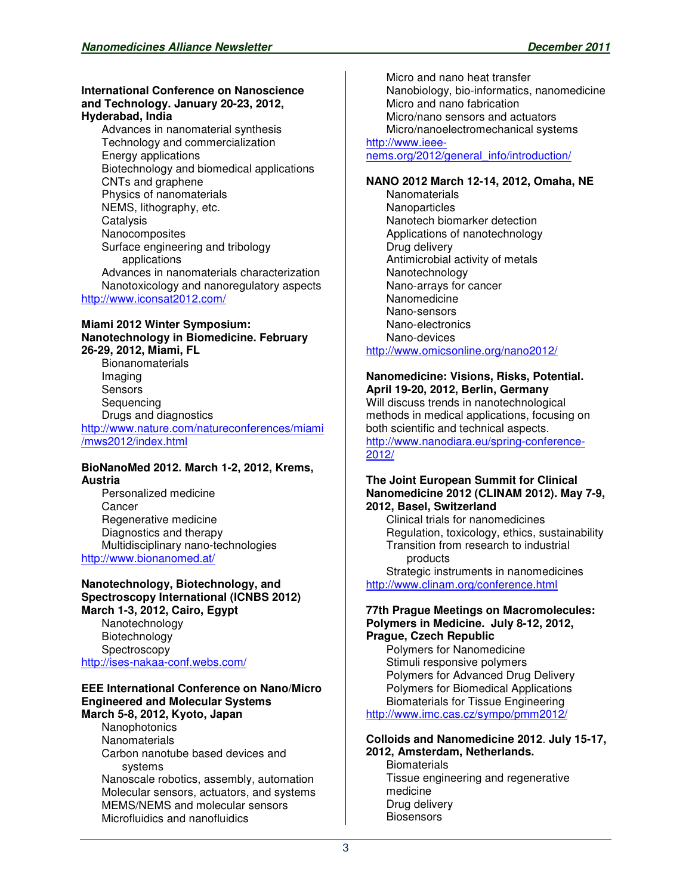#### **International Conference on Nanoscience and Technology. January 20-23, 2012, Hyderabad, India**

Advances in nanomaterial synthesis Technology and commercialization Energy applications Biotechnology and biomedical applications CNTs and graphene Physics of nanomaterials NEMS, lithography, etc. **Catalysis Nanocomposites** Surface engineering and tribology applications Advances in nanomaterials characterization Nanotoxicology and nanoregulatory aspects http://www.iconsat2012.com/

#### **Miami 2012 Winter Symposium: Nanotechnology in Biomedicine. February 26-29, 2012, Miami, FL**

Bionanomaterials Imaging **Sensors** Sequencing Drugs and diagnostics http://www.nature.com/natureconferences/miami /mws2012/index.html

### **BioNanoMed 2012. March 1-2, 2012, Krems, Austria**

Personalized medicine **Cancer** Regenerative medicine Diagnostics and therapy Multidisciplinary nano-technologies http://www.bionanomed.at/

#### **Nanotechnology, Biotechnology, and Spectroscopy International (ICNBS 2012) March 1-3, 2012, Cairo, Egypt**

**Nanotechnology** Biotechnology **Spectroscopy** http://ises-nakaa-conf.webs.com/

#### **EEE International Conference on Nano/Micro Engineered and Molecular Systems March 5-8, 2012, Kyoto, Japan**

Nanophotonics **Nanomaterials** Carbon nanotube based devices and systems Nanoscale robotics, assembly, automation Molecular sensors, actuators, and systems MEMS/NEMS and molecular sensors Microfluidics and nanofluidics

Micro and nano heat transfer Nanobiology, bio-informatics, nanomedicine Micro and nano fabrication Micro/nano sensors and actuators Micro/nanoelectromechanical systems

## http://www.ieee-

nems.org/2012/general\_info/introduction/

#### **NANO 2012 March 12-14, 2012, Omaha, NE**

**Nanomaterials Nanoparticles** Nanotech biomarker detection Applications of nanotechnology Drug delivery Antimicrobial activity of metals Nanotechnology Nano-arrays for cancer Nanomedicine Nano-sensors Nano-electronics Nano-devices http://www.omicsonline.org/nano2012/

#### **Nanomedicine: Visions, Risks, Potential. April 19-20, 2012, Berlin, Germany**

Will discuss trends in nanotechnological methods in medical applications, focusing on both scientific and technical aspects. http://www.nanodiara.eu/spring-conference-2012/

#### **The Joint European Summit for Clinical Nanomedicine 2012 (CLINAM 2012). May 7-9, 2012, Basel, Switzerland**

Clinical trials for nanomedicines Regulation, toxicology, ethics, sustainability Transition from research to industrial products

Strategic instruments in nanomedicines http://www.clinam.org/conference.html

#### **77th Prague Meetings on Macromolecules: Polymers in Medicine. July 8-12, 2012, Prague, Czech Republic**

Polymers for Nanomedicine Stimuli responsive polymers Polymers for Advanced Drug Delivery Polymers for Biomedical Applications Biomaterials for Tissue Engineering http://www.imc.cas.cz/sympo/pmm2012/

#### **Colloids and Nanomedicine 2012**. **July 15-17, 2012, Amsterdam, Netherlands.**

**Biomaterials** Tissue engineering and regenerative medicine Drug delivery **Biosensors**